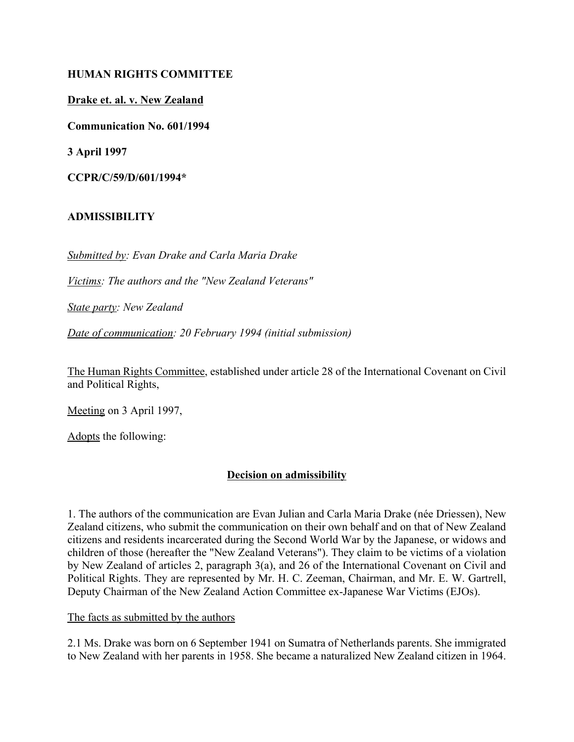#### **HUMAN RIGHTS COMMITTEE**

**Drake et. al. v. New Zealand**

**Communication No. 601/1994**

**3 April 1997**

**CCPR/C/59/D/601/1994\***

# **ADMISSIBILITY**

*Submitted by: Evan Drake and Carla Maria Drake*

*Victims: The authors and the "New Zealand Veterans"*

*State party: New Zealand*

*Date of communication: 20 February 1994 (initial submission)*

The Human Rights Committee, established under article 28 of the International Covenant on Civil and Political Rights,

Meeting on 3 April 1997,

Adopts the following:

# **Decision on admissibility**

1. The authors of the communication are Evan Julian and Carla Maria Drake (née Driessen), New Zealand citizens, who submit the communication on their own behalf and on that of New Zealand citizens and residents incarcerated during the Second World War by the Japanese, or widows and children of those (hereafter the "New Zealand Veterans"). They claim to be victims of a violation by New Zealand of articles 2, paragraph 3(a), and 26 of the International Covenant on Civil and Political Rights. They are represented by Mr. H. C. Zeeman, Chairman, and Mr. E. W. Gartrell, Deputy Chairman of the New Zealand Action Committee ex-Japanese War Victims (EJOs).

#### The facts as submitted by the authors

2.1 Ms. Drake was born on 6 September 1941 on Sumatra of Netherlands parents. She immigrated to New Zealand with her parents in 1958. She became a naturalized New Zealand citizen in 1964.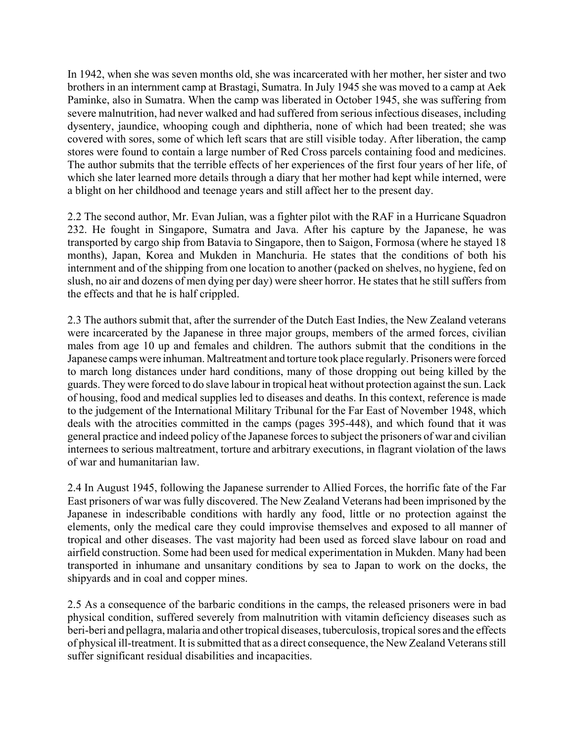In 1942, when she was seven months old, she was incarcerated with her mother, her sister and two brothers in an internment camp at Brastagi, Sumatra. In July 1945 she was moved to a camp at Aek Paminke, also in Sumatra. When the camp was liberated in October 1945, she was suffering from severe malnutrition, had never walked and had suffered from serious infectious diseases, including dysentery, jaundice, whooping cough and diphtheria, none of which had been treated; she was covered with sores, some of which left scars that are still visible today. After liberation, the camp stores were found to contain a large number of Red Cross parcels containing food and medicines. The author submits that the terrible effects of her experiences of the first four years of her life, of which she later learned more details through a diary that her mother had kept while interned, were a blight on her childhood and teenage years and still affect her to the present day.

2.2 The second author, Mr. Evan Julian, was a fighter pilot with the RAF in a Hurricane Squadron 232. He fought in Singapore, Sumatra and Java. After his capture by the Japanese, he was transported by cargo ship from Batavia to Singapore, then to Saigon, Formosa (where he stayed 18 months), Japan, Korea and Mukden in Manchuria. He states that the conditions of both his internment and of the shipping from one location to another (packed on shelves, no hygiene, fed on slush, no air and dozens of men dying per day) were sheer horror. He states that he still suffers from the effects and that he is half crippled.

2.3 The authors submit that, after the surrender of the Dutch East Indies, the New Zealand veterans were incarcerated by the Japanese in three major groups, members of the armed forces, civilian males from age 10 up and females and children. The authors submit that the conditions in the Japanese camps were inhuman. Maltreatment and torture took place regularly. Prisoners were forced to march long distances under hard conditions, many of those dropping out being killed by the guards. They were forced to do slave labour in tropical heat without protection against the sun. Lack of housing, food and medical supplies led to diseases and deaths. In this context, reference is made to the judgement of the International Military Tribunal for the Far East of November 1948, which deals with the atrocities committed in the camps (pages 395-448), and which found that it was general practice and indeed policy of the Japanese forces to subject the prisoners of war and civilian internees to serious maltreatment, torture and arbitrary executions, in flagrant violation of the laws of war and humanitarian law.

2.4 In August 1945, following the Japanese surrender to Allied Forces, the horrific fate of the Far East prisoners of war was fully discovered. The New Zealand Veterans had been imprisoned by the Japanese in indescribable conditions with hardly any food, little or no protection against the elements, only the medical care they could improvise themselves and exposed to all manner of tropical and other diseases. The vast majority had been used as forced slave labour on road and airfield construction. Some had been used for medical experimentation in Mukden. Many had been transported in inhumane and unsanitary conditions by sea to Japan to work on the docks, the shipyards and in coal and copper mines.

2.5 As a consequence of the barbaric conditions in the camps, the released prisoners were in bad physical condition, suffered severely from malnutrition with vitamin deficiency diseases such as beri-beri and pellagra, malaria and other tropical diseases, tuberculosis, tropical sores and the effects of physical ill-treatment. It is submitted that as a direct consequence, the New Zealand Veterans still suffer significant residual disabilities and incapacities.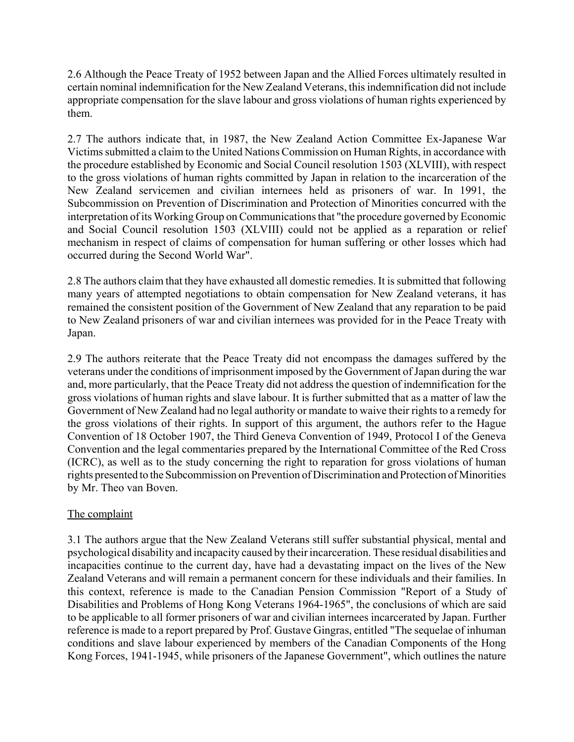2.6 Although the Peace Treaty of 1952 between Japan and the Allied Forces ultimately resulted in certain nominal indemnification for the New Zealand Veterans, this indemnification did not include appropriate compensation for the slave labour and gross violations of human rights experienced by them.

2.7 The authors indicate that, in 1987, the New Zealand Action Committee Ex-Japanese War Victims submitted a claim to the United Nations Commission on Human Rights, in accordance with the procedure established by Economic and Social Council resolution 1503 (XLVIII), with respect to the gross violations of human rights committed by Japan in relation to the incarceration of the New Zealand servicemen and civilian internees held as prisoners of war. In 1991, the Subcommission on Prevention of Discrimination and Protection of Minorities concurred with the interpretation of its Working Group on Communications that "the procedure governed by Economic and Social Council resolution 1503 (XLVIII) could not be applied as a reparation or relief mechanism in respect of claims of compensation for human suffering or other losses which had occurred during the Second World War".

2.8 The authors claim that they have exhausted all domestic remedies. It is submitted that following many years of attempted negotiations to obtain compensation for New Zealand veterans, it has remained the consistent position of the Government of New Zealand that any reparation to be paid to New Zealand prisoners of war and civilian internees was provided for in the Peace Treaty with Japan.

2.9 The authors reiterate that the Peace Treaty did not encompass the damages suffered by the veterans under the conditions of imprisonment imposed by the Government of Japan during the war and, more particularly, that the Peace Treaty did not address the question of indemnification for the gross violations of human rights and slave labour. It is further submitted that as a matter of law the Government of New Zealand had no legal authority or mandate to waive their rights to a remedy for the gross violations of their rights. In support of this argument, the authors refer to the Hague Convention of 18 October 1907, the Third Geneva Convention of 1949, Protocol I of the Geneva Convention and the legal commentaries prepared by the International Committee of the Red Cross (ICRC), as well as to the study concerning the right to reparation for gross violations of human rights presented to the Subcommission on Prevention of Discrimination and Protection of Minorities by Mr. Theo van Boven.

# The complaint

3.1 The authors argue that the New Zealand Veterans still suffer substantial physical, mental and psychological disability and incapacity caused by their incarceration. These residual disabilities and incapacities continue to the current day, have had a devastating impact on the lives of the New Zealand Veterans and will remain a permanent concern for these individuals and their families. In this context, reference is made to the Canadian Pension Commission "Report of a Study of Disabilities and Problems of Hong Kong Veterans 1964-1965", the conclusions of which are said to be applicable to all former prisoners of war and civilian internees incarcerated by Japan. Further reference is made to a report prepared by Prof. Gustave Gingras, entitled "The sequelae of inhuman conditions and slave labour experienced by members of the Canadian Components of the Hong Kong Forces, 1941-1945, while prisoners of the Japanese Government", which outlines the nature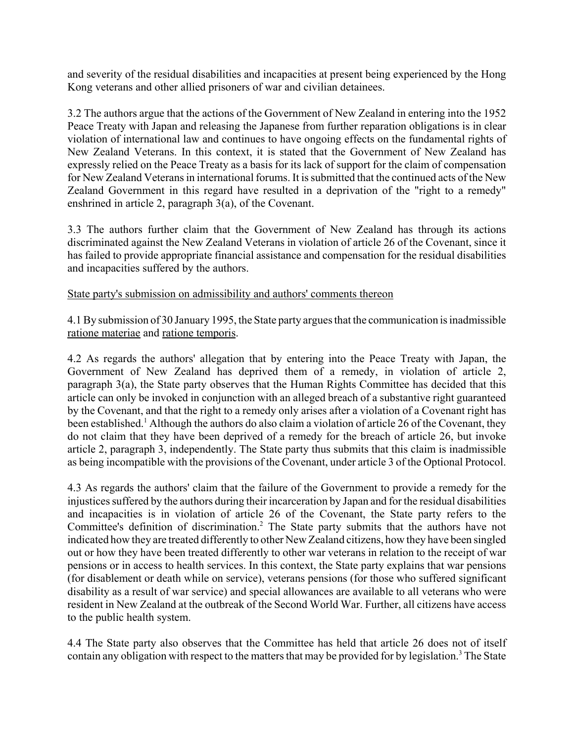and severity of the residual disabilities and incapacities at present being experienced by the Hong Kong veterans and other allied prisoners of war and civilian detainees.

3.2 The authors argue that the actions of the Government of New Zealand in entering into the 1952 Peace Treaty with Japan and releasing the Japanese from further reparation obligations is in clear violation of international law and continues to have ongoing effects on the fundamental rights of New Zealand Veterans. In this context, it is stated that the Government of New Zealand has expressly relied on the Peace Treaty as a basis for its lack of support for the claim of compensation for New Zealand Veterans in international forums. It is submitted that the continued acts of the New Zealand Government in this regard have resulted in a deprivation of the "right to a remedy" enshrined in article 2, paragraph 3(a), of the Covenant.

3.3 The authors further claim that the Government of New Zealand has through its actions discriminated against the New Zealand Veterans in violation of article 26 of the Covenant, since it has failed to provide appropriate financial assistance and compensation for the residual disabilities and incapacities suffered by the authors.

#### State party's submission on admissibility and authors' comments thereon

4.1 By submission of 30 January 1995, the State party argues that the communication is inadmissible ratione materiae and ratione temporis.

4.2 As regards the authors' allegation that by entering into the Peace Treaty with Japan, the Government of New Zealand has deprived them of a remedy, in violation of article 2, paragraph 3(a), the State party observes that the Human Rights Committee has decided that this article can only be invoked in conjunction with an alleged breach of a substantive right guaranteed by the Covenant, and that the right to a remedy only arises after a violation of a Covenant right has been established.<sup>1</sup> Although the authors do also claim a violation of article 26 of the Covenant, they do not claim that they have been deprived of a remedy for the breach of article 26, but invoke article 2, paragraph 3, independently. The State party thus submits that this claim is inadmissible as being incompatible with the provisions of the Covenant, under article 3 of the Optional Protocol.

4.3 As regards the authors' claim that the failure of the Government to provide a remedy for the injustices suffered by the authors during their incarceration by Japan and for the residual disabilities and incapacities is in violation of article 26 of the Covenant, the State party refers to the Committee's definition of discrimination.<sup>2</sup> The State party submits that the authors have not indicated how they are treated differently to other New Zealand citizens, how they have been singled out or how they have been treated differently to other war veterans in relation to the receipt of war pensions or in access to health services. In this context, the State party explains that war pensions (for disablement or death while on service), veterans pensions (for those who suffered significant disability as a result of war service) and special allowances are available to all veterans who were resident in New Zealand at the outbreak of the Second World War. Further, all citizens have access to the public health system.

4.4 The State party also observes that the Committee has held that article 26 does not of itself contain any obligation with respect to the matters that may be provided for by legislation.<sup>3</sup> The State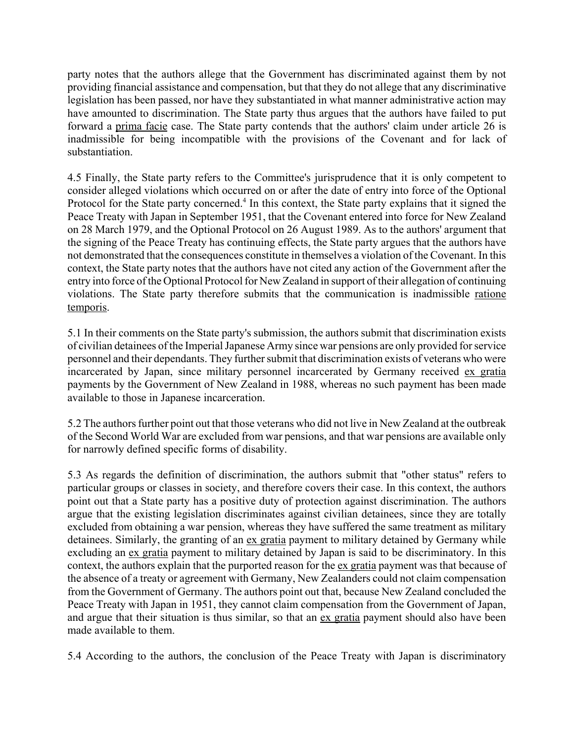party notes that the authors allege that the Government has discriminated against them by not providing financial assistance and compensation, but that they do not allege that any discriminative legislation has been passed, nor have they substantiated in what manner administrative action may have amounted to discrimination. The State party thus argues that the authors have failed to put forward a prima facie case. The State party contends that the authors' claim under article 26 is inadmissible for being incompatible with the provisions of the Covenant and for lack of substantiation.

4.5 Finally, the State party refers to the Committee's jurisprudence that it is only competent to consider alleged violations which occurred on or after the date of entry into force of the Optional Protocol for the State party concerned.<sup>4</sup> In this context, the State party explains that it signed the Peace Treaty with Japan in September 1951, that the Covenant entered into force for New Zealand on 28 March 1979, and the Optional Protocol on 26 August 1989. As to the authors' argument that the signing of the Peace Treaty has continuing effects, the State party argues that the authors have not demonstrated that the consequences constitute in themselves a violation of the Covenant. In this context, the State party notes that the authors have not cited any action of the Government after the entry into force of the Optional Protocol for New Zealand in support of their allegation of continuing violations. The State party therefore submits that the communication is inadmissible ratione temporis.

5.1 In their comments on the State party's submission, the authors submit that discrimination exists of civilian detainees of the Imperial Japanese Army since war pensions are only provided for service personnel and their dependants. They further submit that discrimination exists of veterans who were incarcerated by Japan, since military personnel incarcerated by Germany received ex gratia payments by the Government of New Zealand in 1988, whereas no such payment has been made available to those in Japanese incarceration.

5.2 The authors further point out that those veterans who did not live in New Zealand at the outbreak of the Second World War are excluded from war pensions, and that war pensions are available only for narrowly defined specific forms of disability.

5.3 As regards the definition of discrimination, the authors submit that "other status" refers to particular groups or classes in society, and therefore covers their case. In this context, the authors point out that a State party has a positive duty of protection against discrimination. The authors argue that the existing legislation discriminates against civilian detainees, since they are totally excluded from obtaining a war pension, whereas they have suffered the same treatment as military detainees. Similarly, the granting of an ex gratia payment to military detained by Germany while excluding an ex gratia payment to military detained by Japan is said to be discriminatory. In this context, the authors explain that the purported reason for the ex gratia payment was that because of the absence of a treaty or agreement with Germany, New Zealanders could not claim compensation from the Government of Germany. The authors point out that, because New Zealand concluded the Peace Treaty with Japan in 1951, they cannot claim compensation from the Government of Japan, and argue that their situation is thus similar, so that an ex gratia payment should also have been made available to them.

5.4 According to the authors, the conclusion of the Peace Treaty with Japan is discriminatory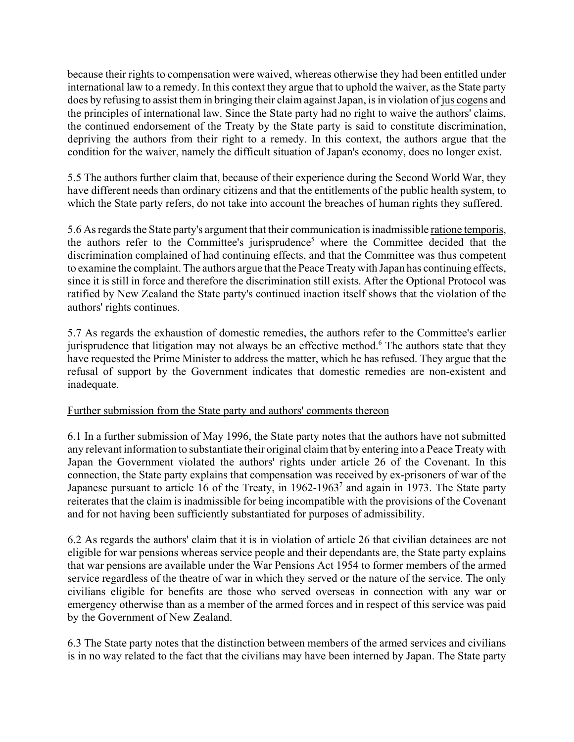because their rights to compensation were waived, whereas otherwise they had been entitled under international law to a remedy. In this context they argue that to uphold the waiver, as the State party does by refusing to assist them in bringing their claim against Japan, is in violation of jus cogens and the principles of international law. Since the State party had no right to waive the authors' claims, the continued endorsement of the Treaty by the State party is said to constitute discrimination, depriving the authors from their right to a remedy. In this context, the authors argue that the condition for the waiver, namely the difficult situation of Japan's economy, does no longer exist.

5.5 The authors further claim that, because of their experience during the Second World War, they have different needs than ordinary citizens and that the entitlements of the public health system, to which the State party refers, do not take into account the breaches of human rights they suffered.

5.6 As regards the State party's argument that their communication is inadmissible ratione temporis, the authors refer to the Committee's jurisprudence<sup>5</sup> where the Committee decided that the discrimination complained of had continuing effects, and that the Committee was thus competent to examine the complaint. The authors argue that the Peace Treaty with Japan has continuing effects, since it is still in force and therefore the discrimination still exists. After the Optional Protocol was ratified by New Zealand the State party's continued inaction itself shows that the violation of the authors' rights continues.

5.7 As regards the exhaustion of domestic remedies, the authors refer to the Committee's earlier jurisprudence that litigation may not always be an effective method.<sup>6</sup> The authors state that they have requested the Prime Minister to address the matter, which he has refused. They argue that the refusal of support by the Government indicates that domestic remedies are non-existent and inadequate.

# Further submission from the State party and authors' comments thereon

6.1 In a further submission of May 1996, the State party notes that the authors have not submitted any relevant information to substantiate their original claim that by entering into a Peace Treaty with Japan the Government violated the authors' rights under article 26 of the Covenant. In this connection, the State party explains that compensation was received by ex-prisoners of war of the Japanese pursuant to article 16 of the Treaty, in 1962-1963<sup>7</sup> and again in 1973. The State party reiterates that the claim is inadmissible for being incompatible with the provisions of the Covenant and for not having been sufficiently substantiated for purposes of admissibility.

6.2 As regards the authors' claim that it is in violation of article 26 that civilian detainees are not eligible for war pensions whereas service people and their dependants are, the State party explains that war pensions are available under the War Pensions Act 1954 to former members of the armed service regardless of the theatre of war in which they served or the nature of the service. The only civilians eligible for benefits are those who served overseas in connection with any war or emergency otherwise than as a member of the armed forces and in respect of this service was paid by the Government of New Zealand.

6.3 The State party notes that the distinction between members of the armed services and civilians is in no way related to the fact that the civilians may have been interned by Japan. The State party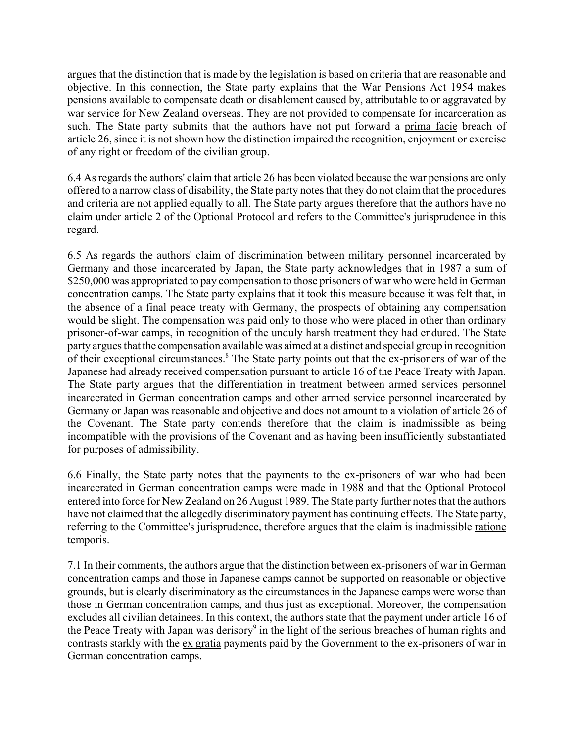argues that the distinction that is made by the legislation is based on criteria that are reasonable and objective. In this connection, the State party explains that the War Pensions Act 1954 makes pensions available to compensate death or disablement caused by, attributable to or aggravated by war service for New Zealand overseas. They are not provided to compensate for incarceration as such. The State party submits that the authors have not put forward a prima facie breach of article 26, since it is not shown how the distinction impaired the recognition, enjoyment or exercise of any right or freedom of the civilian group.

6.4 As regards the authors' claim that article 26 has been violated because the war pensions are only offered to a narrow class of disability, the State party notes that they do not claim that the procedures and criteria are not applied equally to all. The State party argues therefore that the authors have no claim under article 2 of the Optional Protocol and refers to the Committee's jurisprudence in this regard.

6.5 As regards the authors' claim of discrimination between military personnel incarcerated by Germany and those incarcerated by Japan, the State party acknowledges that in 1987 a sum of \$250,000 was appropriated to pay compensation to those prisoners of war who were held in German concentration camps. The State party explains that it took this measure because it was felt that, in the absence of a final peace treaty with Germany, the prospects of obtaining any compensation would be slight. The compensation was paid only to those who were placed in other than ordinary prisoner-of-war camps, in recognition of the unduly harsh treatment they had endured. The State party argues that the compensation available was aimed at a distinct and special group in recognition of their exceptional circumstances.<sup>8</sup> The State party points out that the ex-prisoners of war of the Japanese had already received compensation pursuant to article 16 of the Peace Treaty with Japan. The State party argues that the differentiation in treatment between armed services personnel incarcerated in German concentration camps and other armed service personnel incarcerated by Germany or Japan was reasonable and objective and does not amount to a violation of article 26 of the Covenant. The State party contends therefore that the claim is inadmissible as being incompatible with the provisions of the Covenant and as having been insufficiently substantiated for purposes of admissibility.

6.6 Finally, the State party notes that the payments to the ex-prisoners of war who had been incarcerated in German concentration camps were made in 1988 and that the Optional Protocol entered into force for New Zealand on 26 August 1989. The State party further notes that the authors have not claimed that the allegedly discriminatory payment has continuing effects. The State party, referring to the Committee's jurisprudence, therefore argues that the claim is inadmissible ratione temporis.

7.1 In their comments, the authors argue that the distinction between ex-prisoners of war in German concentration camps and those in Japanese camps cannot be supported on reasonable or objective grounds, but is clearly discriminatory as the circumstances in the Japanese camps were worse than those in German concentration camps, and thus just as exceptional. Moreover, the compensation excludes all civilian detainees. In this context, the authors state that the payment under article 16 of the Peace Treaty with Japan was derisory<sup>9</sup> in the light of the serious breaches of human rights and contrasts starkly with the ex gratia payments paid by the Government to the ex-prisoners of war in German concentration camps.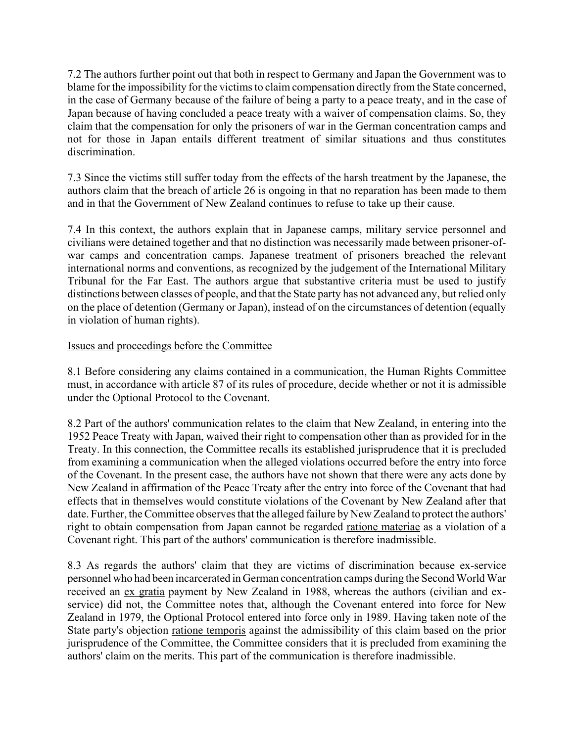7.2 The authors further point out that both in respect to Germany and Japan the Government was to blame for the impossibility for the victims to claim compensation directly from the State concerned, in the case of Germany because of the failure of being a party to a peace treaty, and in the case of Japan because of having concluded a peace treaty with a waiver of compensation claims. So, they claim that the compensation for only the prisoners of war in the German concentration camps and not for those in Japan entails different treatment of similar situations and thus constitutes discrimination.

7.3 Since the victims still suffer today from the effects of the harsh treatment by the Japanese, the authors claim that the breach of article 26 is ongoing in that no reparation has been made to them and in that the Government of New Zealand continues to refuse to take up their cause.

7.4 In this context, the authors explain that in Japanese camps, military service personnel and civilians were detained together and that no distinction was necessarily made between prisoner-ofwar camps and concentration camps. Japanese treatment of prisoners breached the relevant international norms and conventions, as recognized by the judgement of the International Military Tribunal for the Far East. The authors argue that substantive criteria must be used to justify distinctions between classes of people, and that the State party has not advanced any, but relied only on the place of detention (Germany or Japan), instead of on the circumstances of detention (equally in violation of human rights).

# Issues and proceedings before the Committee

8.1 Before considering any claims contained in a communication, the Human Rights Committee must, in accordance with article 87 of its rules of procedure, decide whether or not it is admissible under the Optional Protocol to the Covenant.

8.2 Part of the authors' communication relates to the claim that New Zealand, in entering into the 1952 Peace Treaty with Japan, waived their right to compensation other than as provided for in the Treaty. In this connection, the Committee recalls its established jurisprudence that it is precluded from examining a communication when the alleged violations occurred before the entry into force of the Covenant. In the present case, the authors have not shown that there were any acts done by New Zealand in affirmation of the Peace Treaty after the entry into force of the Covenant that had effects that in themselves would constitute violations of the Covenant by New Zealand after that date. Further, the Committee observes that the alleged failure by New Zealand to protect the authors' right to obtain compensation from Japan cannot be regarded ratione materiae as a violation of a Covenant right. This part of the authors' communication is therefore inadmissible.

8.3 As regards the authors' claim that they are victims of discrimination because ex-service personnel who had been incarcerated in German concentration camps during the Second World War received an ex gratia payment by New Zealand in 1988, whereas the authors (civilian and exservice) did not, the Committee notes that, although the Covenant entered into force for New Zealand in 1979, the Optional Protocol entered into force only in 1989. Having taken note of the State party's objection ratione temporis against the admissibility of this claim based on the prior jurisprudence of the Committee, the Committee considers that it is precluded from examining the authors' claim on the merits. This part of the communication is therefore inadmissible.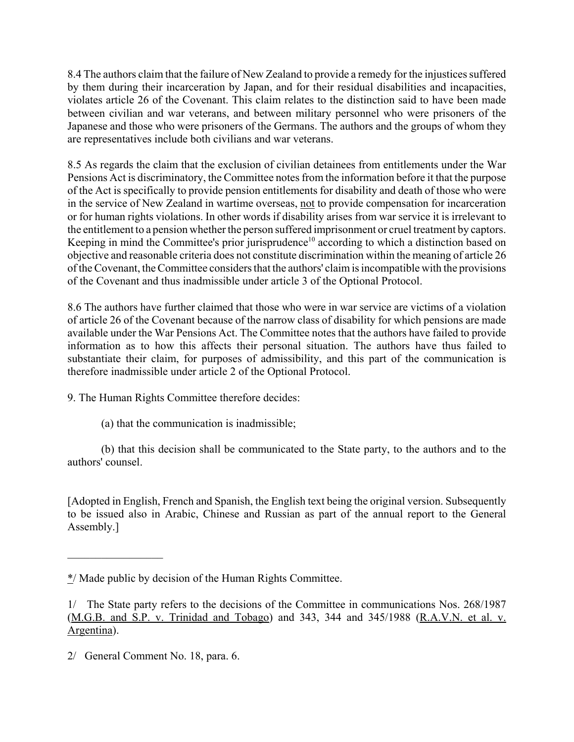8.4 The authors claim that the failure of New Zealand to provide a remedy for the injustices suffered by them during their incarceration by Japan, and for their residual disabilities and incapacities, violates article 26 of the Covenant. This claim relates to the distinction said to have been made between civilian and war veterans, and between military personnel who were prisoners of the Japanese and those who were prisoners of the Germans. The authors and the groups of whom they are representatives include both civilians and war veterans.

8.5 As regards the claim that the exclusion of civilian detainees from entitlements under the War Pensions Act is discriminatory, the Committee notes from the information before it that the purpose of the Act is specifically to provide pension entitlements for disability and death of those who were in the service of New Zealand in wartime overseas, not to provide compensation for incarceration or for human rights violations. In other words if disability arises from war service it is irrelevant to the entitlement to a pension whether the person suffered imprisonment or cruel treatment by captors. Keeping in mind the Committee's prior jurisprudence<sup>10</sup> according to which a distinction based on objective and reasonable criteria does not constitute discrimination within the meaning of article 26 of the Covenant, the Committee considers that the authors' claim is incompatible with the provisions of the Covenant and thus inadmissible under article 3 of the Optional Protocol.

8.6 The authors have further claimed that those who were in war service are victims of a violation of article 26 of the Covenant because of the narrow class of disability for which pensions are made available under the War Pensions Act. The Committee notes that the authors have failed to provide information as to how this affects their personal situation. The authors have thus failed to substantiate their claim, for purposes of admissibility, and this part of the communication is therefore inadmissible under article 2 of the Optional Protocol.

9. The Human Rights Committee therefore decides:

(a) that the communication is inadmissible;

(b) that this decision shall be communicated to the State party, to the authors and to the authors' counsel.

[Adopted in English, French and Spanish, the English text being the original version. Subsequently to be issued also in Arabic, Chinese and Russian as part of the annual report to the General Assembly.]

 $\mathcal{L}_\text{max}$ 

<sup>\*/</sup> Made public by decision of the Human Rights Committee.

<sup>1/</sup> The State party refers to the decisions of the Committee in communications Nos. 268/1987 (M.G.B. and S.P. v. Trinidad and Tobago) and 343, 344 and 345/1988 (R.A.V.N. et al. v. Argentina).

<sup>2/</sup> General Comment No. 18, para. 6.